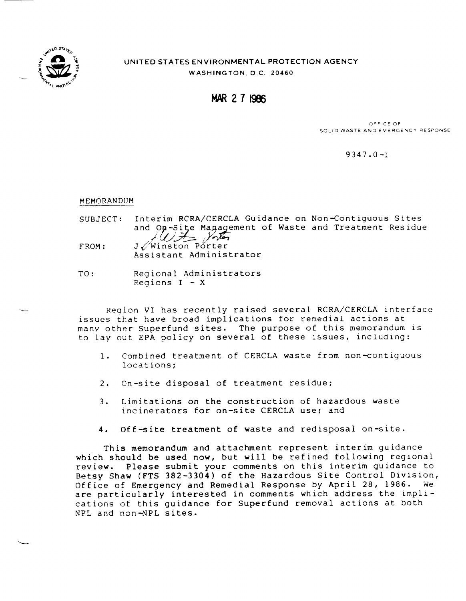

# UNITED STATES ENVIRONMENTAL PROTECTION AGENCY WASHINGTON, D,C. 20460

**MAR271966** 

oFFICE OF SOLID WASTE AND EMERGENCY RESPONSE

9347 .0-1

MEMORANDIJM

- SUBJECT: Interim RCRA/CERCLA Guidance on Non-Contiguous Sites and On-Site Magagement of Waste and Treatment Residue  $AU\neq$  yother FROM: J/Winston Porter Assistant Administrator
- TO: Regional Administrators Regions  $I - X$

Region VI has recently raised several RCRA/CERCLA interface issues that have broad implications for remedial actions at manv other Superfund sites. The purpose of this memorandum is to lay out EPA policy on several of these issues, including:

- 1. Combined treatment of CERCLA waste from non-contiquous locations;
- 2. On-site disposal of treatment residue;
- 3. Limitations on the construction of hazardous waste incinerators for on-site CERCLA use; and
- 4. Off-site treatment of waste and redisposal on-site.

This memorandum and attachment represent interim guidance which should be used now, but will be refined following regional review. Please submit your comments on this interim guidance to Betsy Shaw (FTS 382-3304) of the Hazardous Site Control Division, Office of Emergency and Remedial Response by April 28, 1986. We are particularly interested in comments which address the implications of this guidance for Superfund removal actions at both NPL and non-NPL sites.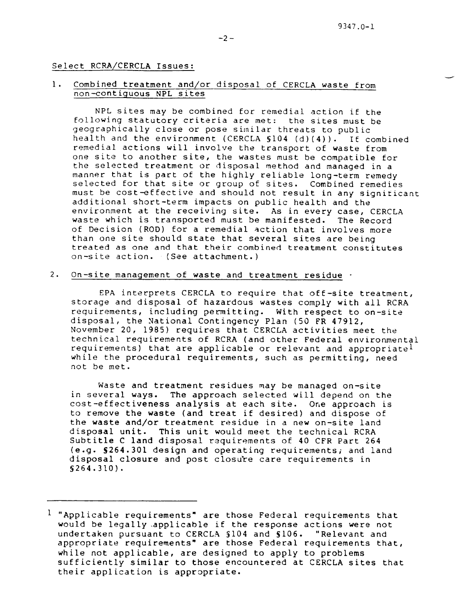#### Select RCRA/CERCLA Issues:

### 1. Combined treatment and/or disposal of CERCLA waste from non-contiguous NPL sites

NPL sites may be combined for remedial action if the following statutory criteria are met: the sites must be geographically close or pose similar threats to public health and the environment (CERCLA  $$104$   $(d)(4)$ ). If combined remedial actions will involve the transport of waste from one site to another site, the wastes must be compatible for the selected treatment or disposal method and managed in a manner that is part of the highly reliable long-term remedy selected for that site or group of sites. Combined remedies must be cost-effective and should not result in any significant additional short-term impacts on public health and the environment at the receiving site. As in every case, CERCLA waste which is transported must be manifested. The Record of Decision (ROD) for a remedial action that involves more than one site should state that several sites are being treated as one and that their combined treatment constitutes on-site action. (See attachment. )

### 2. On-site management of waste and treatment residue -

EPA interprets CERCLA to require that oft-site treatment, storage and disposal of hazardous wastes comply with all RCRA requirements, including permitting. With respect to on-site disposal, the National Contingency Plan (50 FR 47912, November 20, 1985) requires that CERCLA activities meet the technical requirements of RCRA (and other Federal environmental requirements) that are applicable or relevant and appropriate<sup>1</sup> while the procedural requirements, such as permitting, need not be met.

Waste and treatment residues may be managed on-site in several ways. The approach selected will depend on the cost-effectiveness analysis at each site. One approach is to remove the waste (and treat if desired) and dispose of the waste and/or treatment residue in a new on-site land disposal unit. This unit would meet the technical RCRA Subtitle C land disposal requirements of 40 CFR Part 264 (e.g. S264.301 design and operating requirements; and land disposal closure and post closure care requirements in S264.31O).

 $1$  "Applicable requirements" are those Federal requirements that would be legally applicable if the response actions were not undertaken pursuant to CERCLA §104 and §106. "Relevant and appropriate requirements" are those Federal requirements that, while not applicable, are designed to apply to problems sufficiently similar to those encountered at CERCLA sites that their application is appropriate.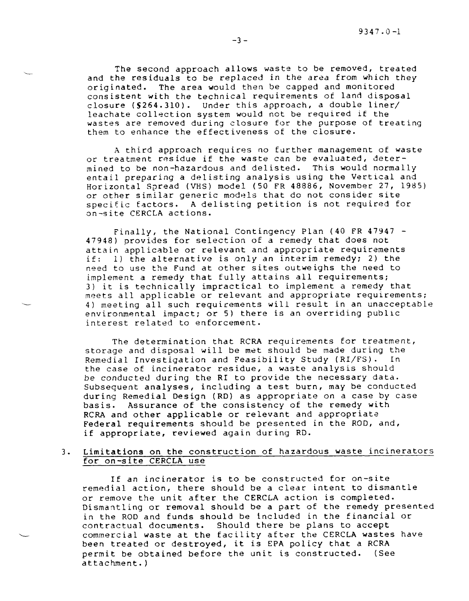The second approach allows waste to be removed, treated and the residuals to be replaced in the area from which they originated. The area would then be capped and monitored consistent with the technical requirements of land disposal closure (§264.310). Under this approach, a double line leachate collection system would not be required if th wastes are removed during closure for the purpose of treat them to enhance the effectiveness of the closu

A third approach requires no further management of wast or treatment residue if the waste can be evaluated, determined to be non-hazardous and delisted. This would normal entail preparing a delisting analysis using the Vertical and Horizontal Spread (VHS) model (50 FR 48886, November 27, 1985) or other similar generic models that do not consider site specific factors. A delisting petition is not required fo on-site CERCLA actions.

Finally, the National Contingency Plan (40 FR 47947 - 47948) provides for selection of a remedy that does not attain applicable or relevant and appropriate requirements if: 1) the alternative is only an interim remedy; 2) the need to use the Fund at other sites outweighs the need to implement a remedy that fully attains all requirements; 3) it is technically impractical to implement a remedy that meets all applicable or relevant and appropriate requirements; 4) meeting all such requirements will result in an unacceptable environmental impact; or 5) there is an overriding publlc interest related to enforcement.

-

**L** 

The determination that RCRA requirements for treatment, storage and disposal will be met should be made during the Remedial Investigation and Feasibility Study (RI/FS). In the case of incinerator residue, a waste analysis should be conducted during the RI to provide the necessary dat Subsequent analyses, including a test burn, may be conduc during Remedial Design (RD) as appropriate on a case by case basis. Assurance of the consistency of the remedy with RCRA and other applicable or relevant and appropi Federal requirements should be presented in the ROD, and, if appropriate, reviewed again during RD.

### 3. Limitations on the construction of hazardous waste incinerators for on-site CERCLA use

If an incinerator is to be constructed for on-site remedial action, there should be a clear intent to dismantle or remove the unit after the CERCLA action is comple Dismantling or removal should be a part of the remedy presen in the ROD and funds should be included in the financial or contractual documents. Should there be plans to acce commercial waste at the facility after the CERCLA wastes hav been treated or destroyed, it is EPA policy that a RCRA permit be obtained before the unit is constructed. (See attachment. )

-3-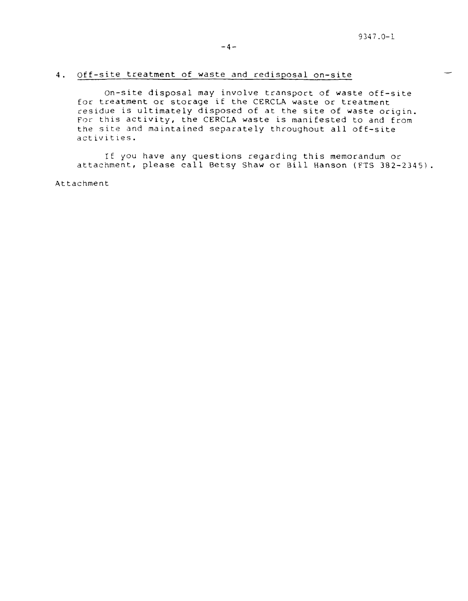### 4. Off-site treatment of waste and redisposal on-site

On-site disposal may involve transport of waste off-site for treatment or storage if the CERCLA waste or treatment residue is ultimately disposed of at the site of waste origin. For this activity, the CERCLA waste is manifested to and from the site and maintained separately throughout all off-site activities.

If YOU have any questions regarding this memorandum or attachment, please call Betsy Shaw or Bill Hanson (FTS 382-2345) .

Attachment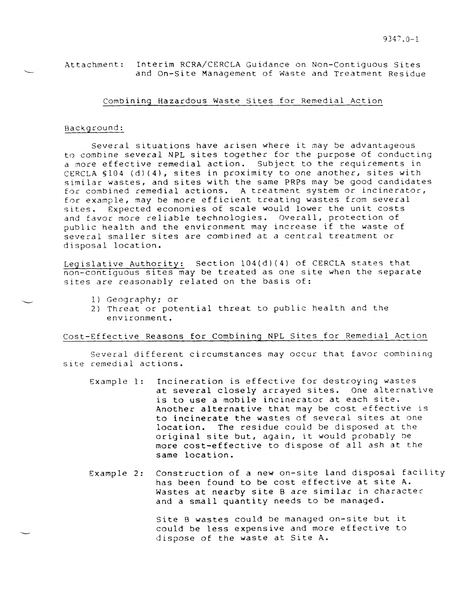### Attachment: Interim RCRA/CERCLA Guidance on Non-Contiguous Sites and On-Site Management of Waste and Treatment Residue

### Combining Hazardous Waste Sites for Remedial Action

#### Background:

Several situations have arisen where it may be advantageous to combine several NPL sites together for the purpose of conducting a more effective remedial action. Subject to the requirements in CERCLA S104 (d)(4), sites in proximity to one another, sites with similar wastes, and sites with the same PRPs may be good candidates for combined remedial actions. A treatment system *or* incinerator, for example, may be more efficient treating wastes from several sites. Expected economies of scale would *lower* the unit costs and favor more reliable technologies. Overall, protection of public health and the environment may increase if the waste of several smaller sites are combined at a central treatment or disposal location.

Legislative Authority: Section 104(d)(4) of CERCLA states that non-contiguous sites may be treated as one site when the separate sites are reasonably related on the basis of:

- 1) Geography; or
- 2) Threat or potential threat to public health and the environment.

# Cost–Effective Reasons for Combining NPL Sites for Remedial Action

Several different circumstances may occur that favor combining site remedial actions.

- Example 1: Incineration is effective for destroying wastes at several closely arrayed sites. One alternative is to use a mobile incinerator at each site. Another alternative that may be cost effective is to incinerate the wastes of several sites at one location. The residue could be disposed at the original site but, again, it would probably be more cost-effective to dispose of all ash at the same location.
- Example 2: Construction of a new on-site land disposal tacility has been found to be cost effective at site A. Wastes at nearby site B are similar in character and a small quantity needs to be managed.

Site B wastes could be managed on-site but it could be less expensive and more effective to dispose of the waste at Site A.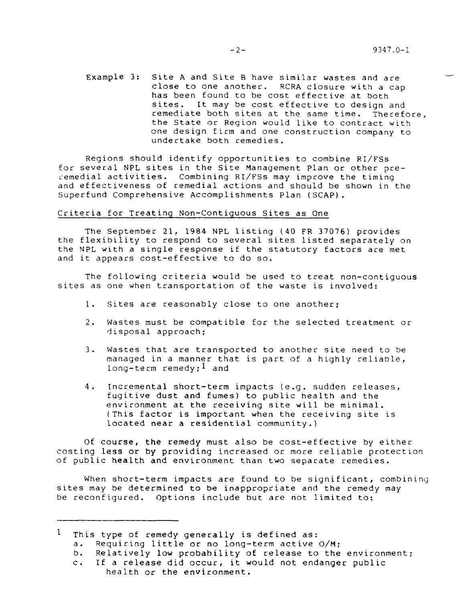Example 3: Site A and Site B have similar wastes and ar close to one another. RCRA closure with a cap has been found to be cost effective at bot sites. It may be cost effective to design and remediate both sites at the same time. Therefore , the State *or* Region would like to contract with one design firm and one construction company to undertake both remedi

Regions should identify opportunities to combine RI/F *for several* NPL sites in the Site Management Plan or other *pre* remedial activities. Combining RI/FSs may improve the timing and effectiveness of remedial actions and should be shown in the Superfund Comprehensive Accomplishments Plan (SCAP).

### Criteria for Treatinq Non-Contiquous Sites as One

The September 21, 1984 NPL listing (40 FR 37076) provides the flexibility to respond to several sites listed separately on the NPL with a single response if the statutory factors are met and it appears cost-effective to do so.

The following criteria would be used to treat non-contiguous sites as one when transportation of the waste is involved:

- l. Sites are reasonably close to one anoth
- 2. Wastes must be compatible for the selected treatment *or*  disposal approach;
- 3. Wastes that are transported to another site need to be managed in a manner that is part of a highly reliable, long-term remedy;  $l$  and
- 4. Incremental short-term impacts (e.g. sudden releases, fugitive dust and fumes) to public health and the environment at the receiving site will be minimal. (This factor is important when the receiving site is located near a residential community.)

Of course, the remedy must also be cost-effective by eith costing le**ss or by providing increased** or more reliable protec of public health and environment than two separate remedi

When short-term impacts are found to be significant, combining sites may be determined to be inappropriate and the remedy may be reconfigured. Options include but are not limited to:

 $<sup>1</sup>$  This type of remedy generally is defined as:</sup>

- a. Requiring little or no long-term active O/M;
- b. Relatively low probability of release to the environment;
- c. If a release did occur, it would not endanger public health or the environment.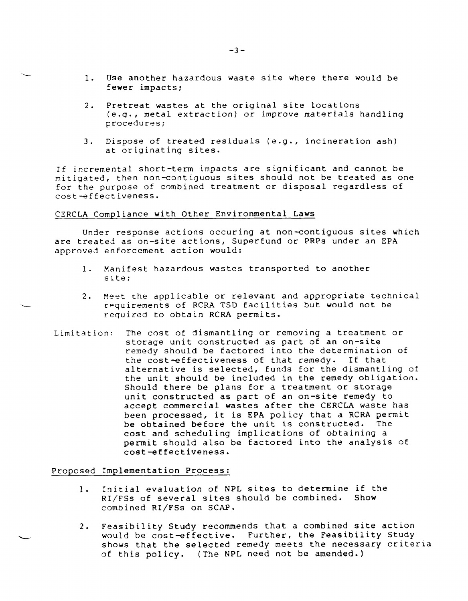- 1. Use another hazardous waste site where there would be fewer impacts;
- 2. Pretreat wastes at the original site locations (e.g., metal extraction) or improve materials handling procedures;
- 3. Dispose of treated residuals (e.g., incineration ash) at originating sites.

If incremental short-term impacts are significant and cannot be mitigated, then non-contiguous sites should not be treated as one for the purpose of combined treatment or disposal regardless of cost-effectiveness.

# CERCLA Compliance with Other Environmental Laws

**'.-**

Under response actions occuring at non-contiguous sites which are treated as on-site actions, Superfund or PRPs under an EPA approved enforcement action would:

- 1. Manifest hazardous wastes transported to another site;
- 2. Meet the applicable or relevant and appropriate technical **'\_\_\_** r~quirements of RCRA T.SI) facilities **but** would not be required to obtain RCRA permits.
- Limitation: The cost of dismantling or removing a treatment or storage unit constructed as part of an on-site remedy should be factored into the determination of the cost-effectiveness of that remedy. If that alternative is selected, funds for the dismantling of the unit should be included in the remedy obligation. Should there be plans for a treatment or storage unit constructed as part of an on-site remedy to accept commercial wastes after the CERCLA waste has been processed, it is EPA policy that a RCRA perm be obtained before the unit is constructed. The cost and scheduling implications of obtaining a permit should also be factored into the analysis of cost-effectiveness .

Proposed Implementation Process:

- l. Initial evaluation of NPL sites to determine if th RI/FSs of several sites should be combined. Show combined RI/FSs on SCAP.
- 2. Feasibility Study recommends that a combined site acti would be cost-effective. Further, the Feasibility Stud shows that the selected remedy meets the necessary crit of this policy. (The NpL need not be amended. )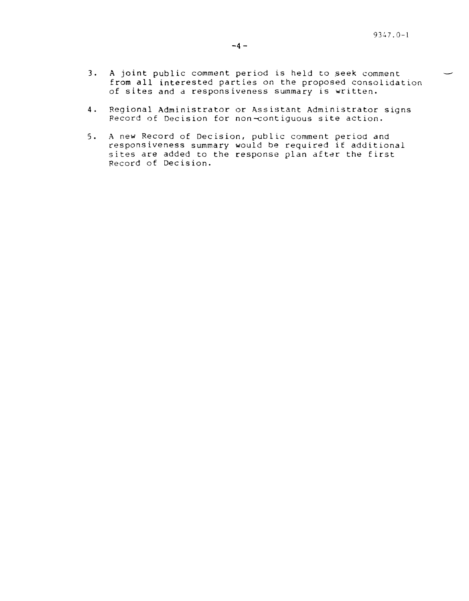- 3. A joint public comment period is held to seek comment from all interested parties on the proposed consolidation of sites and a responsiveness summary is written.
- 4. Regional Administrator or Assistant Administrator signs Record of Decision for non-contiguous site action.
- 5. A new Record of Decision, public comment period and responsiveness summary would be required it additional sites are added to the response plan after the first Record of Decision.